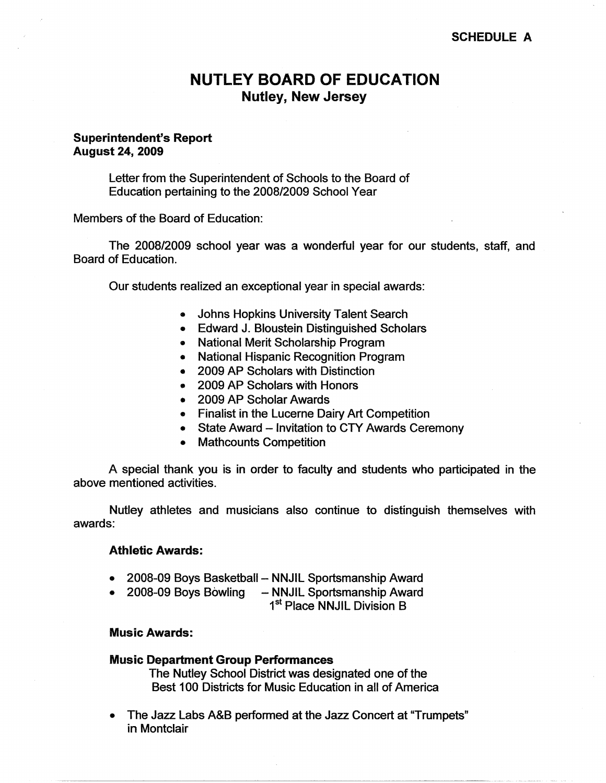### **SCHEDULE A**

# **NUTLEY BOARD OF EDUCATION Nutley, New Jersey**

#### **Superintendent's Report August 24, 2009**

Letter from the Superintendent of Schools to the Board of Education pertaining to the 2008/2009 School Year

Members of the Board of Education:

The 2008/2009 school year was a wonderful year for our students, staff, and Board of Education.

Our students realized an exceptional year in special awards:

- Johns Hopkins University Talent Search
- Edward J. Blaustein Distinguished Scholars
- National Merit Scholarship Program
- National Hispanic Recognition Program
- 2009 AP Scholars with Distinction
- 2009 AP Scholars with Honors
- 2009 AP Scholar Awards
- Finalist in the Lucerne Dairy Art Competition
- State Award Invitation to CTY Awards Ceremony
- Mathcounts Competition

A special thank you is in order to faculty and students who participated in the above mentioned activities.

Nutley athletes and musicians also continue to distinguish themselves with awards:

#### **Athletic Awards:**

- 2008-09 Boys Basketball NNJIL Sportsmanship Award
- 2008-09 Boys Bowling NNJIL Sportsmanship Award 1<sup>st</sup> Place NNJIL Division B

### **Music Awards:**

#### **Music Department Group Performances**

The Nutley School District was designated one of the Best 100 Districts for Music Education in all of America

• The Jazz Labs A&B performed at the Jazz Concert at "Trumpets" in Montclair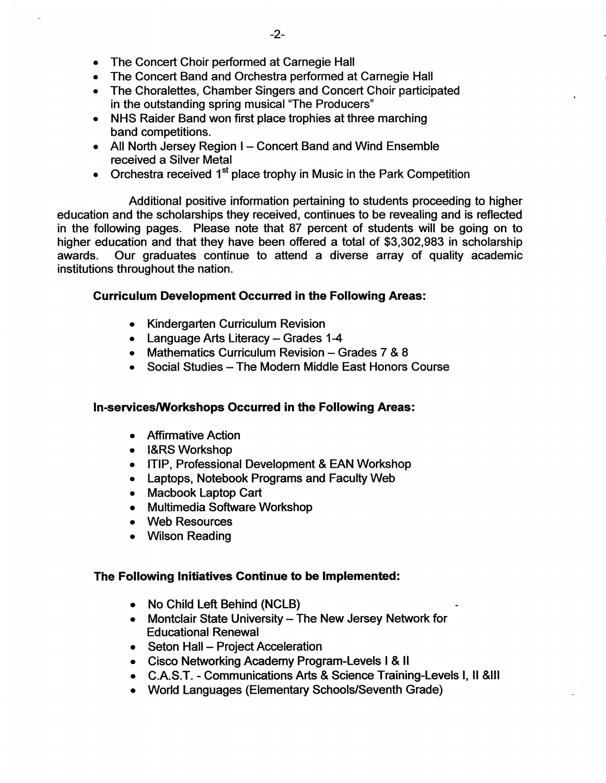- The Concert Choir performed at Carnegie Hall
- The Concert Band and Orchestra performed at Carnegie Hall
- The Choralettes, Chamber Singers and Concert Choir participated in the outstanding spring musical "The Producers"
- NHS Raider Band won first place trophies at three marching band competitions.
- All North Jersey Region I Concert Band and Wind Ensemble received a Silver Metal
- Orchestra received  $1<sup>st</sup>$  place trophy in Music in the Park Competition

Additional positive information pertaining to students proceeding to higher education and the scholarships they received, continues to be revealing and is reflected in the following pages. Please note that 87 percent of students will be going on to higher education and that they have been offered a total of \$3,302,983 in scholarship awards. Our graduates continue to attend a diverse array of quality academic institutions throughout the nation.

### **Curriculum Development Occurred in the Following Areas:**

- Kindergarten Curriculum Revision
- Language Arts Literacy Grades 1-4
- Mathematics Curriculum Revision Grades 7 & 8
- Social Studies The Modern Middle East Honors Course

#### **In-services/Workshops Occurred in the Following Areas:**

- Affirmative Action
- l&RS Workshop
- ITIP, Professional Development & EAN Workshop
- Laptops, Notebook Programs and Faculty Web
- Macbook Laptop Cart
- Multimedia Software Workshop
- Web Resources
- Wilson Reading

#### **The Following Initiatives Continue to be Implemented:**

- No Child Left Behind (NCLB)
- Montclair State University The New Jersey Network for Educational Renewal
- Seton Hall Project Acceleration
- Cisco Networking Academy Program-Levels I & II
- C.A.S.T. Communications Arts & Science Training-Levels I, II &Ill
- World Languages {Elementary Schools/Seventh Grade)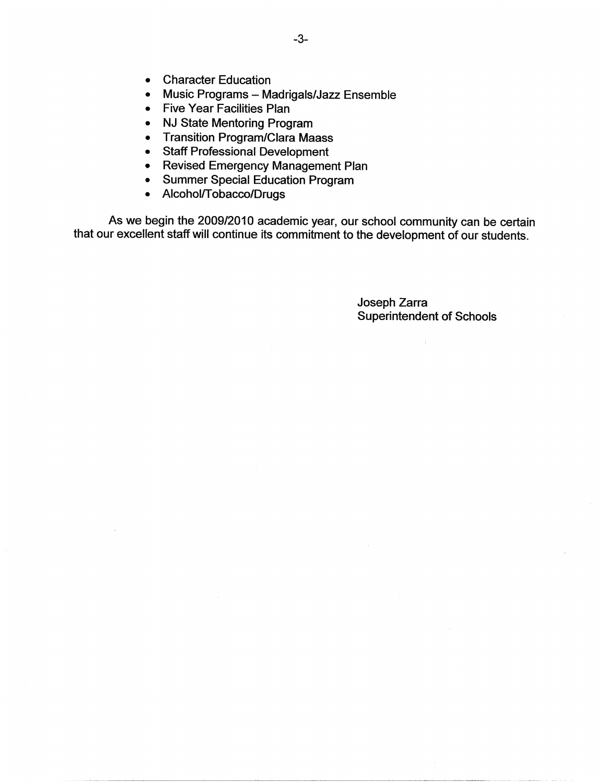- Character Education
- Music Programs Madrigals/Jazz Ensemble
- Five Year Facilities Plan
- NJ State Mentoring Program
- Transition Program/Clara Maass
- Staff Professional Development
- Revised Emergency Management Plan
- Summer Special Education Program
- Alcohol/Tobacco/Drugs

As we begin the 2009/2010 academic year, our school community can be certain that our excelfent staff will continue its commitment to the development of our students.

> Joseph Zarra Superintendent of Schools

> > $\sim$   $\chi$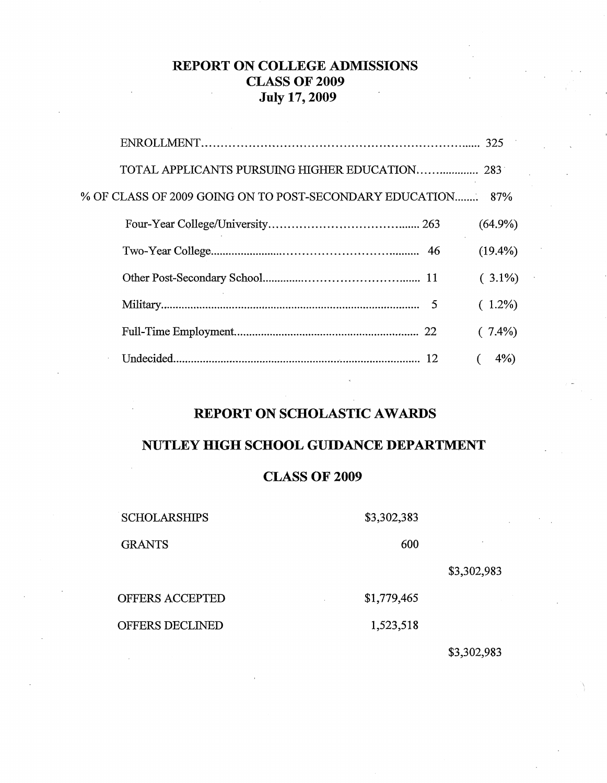# **REPORT ON COLLEGE ADMISSIONS CLASS OF 2009 July 17, 2009**

| TOTAL APPLICANTS PURSUING HIGHER EDUCATION 283              |            |  |
|-------------------------------------------------------------|------------|--|
| % OF CLASS OF 2009 GOING ON TO POST-SECONDARY EDUCATION 87% |            |  |
|                                                             | $(64.9\%)$ |  |
|                                                             | $(19.4\%)$ |  |
|                                                             | $(3.1\%)$  |  |
|                                                             | $(1.2\%)$  |  |
|                                                             | $(7.4\%)$  |  |
| Undecided.                                                  | $4\%)$     |  |

# **REPORT ON SCHOLASTIC AWARDS**

# **NUTLEY HIGH SCHOOL GUIDANCE DEPARTMENT**

# **CLASS OF 2009**

| <b>SCHOLARSHIPS</b> | \$3,302,383 |             |
|---------------------|-------------|-------------|
| <b>GRANTS</b>       | 600         |             |
|                     |             | \$3,302,983 |
| OFFERS ACCEPTED     | \$1,779,465 |             |
| OFFERS DECLINED     | 1,523,518   |             |
|                     |             | \$3,302,983 |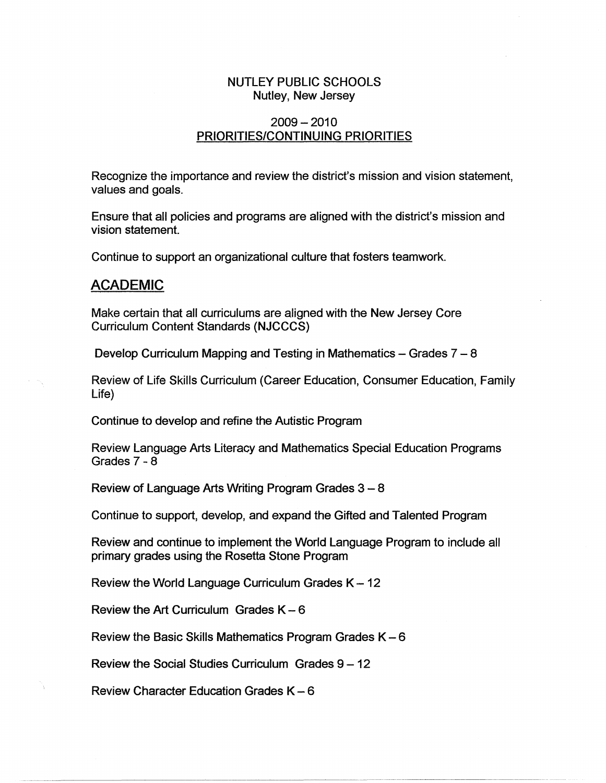### NUTLEY PUBLIC SCHOOLS Nutley, New Jersey

## 2009-2010 **PRIORITIES/CONTINUING** PRIORITIES

Recognize the importance and review the district's mission and vision statement, values and goals.

Ensure that all policies and programs are aligned with the district's mission and vision statement.

Continue to support an organizational culture that fosters teamwork.

## **ACADEMIC**

Make certain that all curriculums are aligned with the New Jersey Core Curriculum Content Standards **(NJCCCS)** 

Develop Curriculum Mapping and Testing in Mathematics  $-$  Grades  $7-8$ 

Review of Life Skills Curriculum (Career Education, Consumer Education, Family Life)

Continue to develop and refine the Autistic Program

Review Language Arts Literacy and Mathematics Special Education Programs Grades 7-8

Review of Language Arts Writing Program Grades  $3 - 8$ 

Continue to support, develop, and expand the Gifted and Talented Program

Review and continue to implement the World Language Program to include all primary grades using the Rosetta Stone Program

Review the World Language Curriculum Grades  $K - 12$ 

Review the Art Curriculum Grades  $K - 6$ 

Review the Basic Skills Mathematics Program Grades  $K - 6$ 

Review the Social Studies Curriculum Grades  $9 - 12$ 

Review Character Education Grades  $K - 6$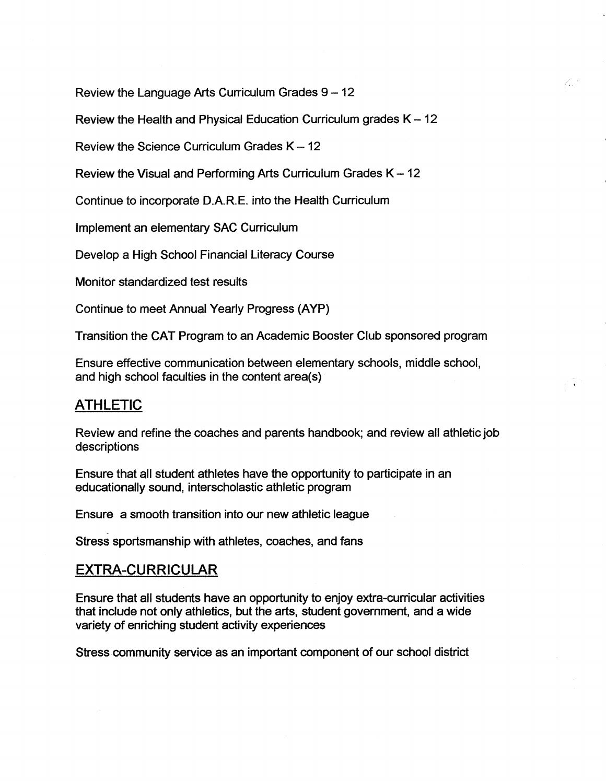Review the Language Arts Curriculum Grades  $9 - 12$ 

Review the Health and Physical Education Curriculum grades  $K - 12$ 

 $\mathscr{C}^{\mathscr{X}}$ 

Review the Science Curriculum Grades  $K - 12$ 

Review the Visual and Performing Arts Curriculum Grades  $K - 12$ 

Continue to incorporate D.A.R.E. into the Health Curriculum

Implement an elementary SAC Curriculum

Develop a High School Financial Literacy Course

Monitor standardized test results

Continue to meet Annual Yearly Progress **(AYP)** 

Transition the CAT Program to an Academic Booster Club sponsored program

Ensure effective communication between elementary schools, middle school, and high school faculties in the content area(s)

## **ATHLETIC**

Review and refine the coaches and parents handbook; and review all athletic job descriptions

Ensure that all student athletes have the opportunity to participate in an educationally sound, interscholastic athletic program

Ensure a smooth transition into our new athletic league

Stress sportsmanship with athletes, coaches, and fans

#### **EXTRA-CURRICULAR**

Ensure that all students have an opportunity to enjoy extra-curricular activities that include not only athletics, but the arts, student government, and a wide variety of enriching student activity experiences

Stress community service as an important component of our school district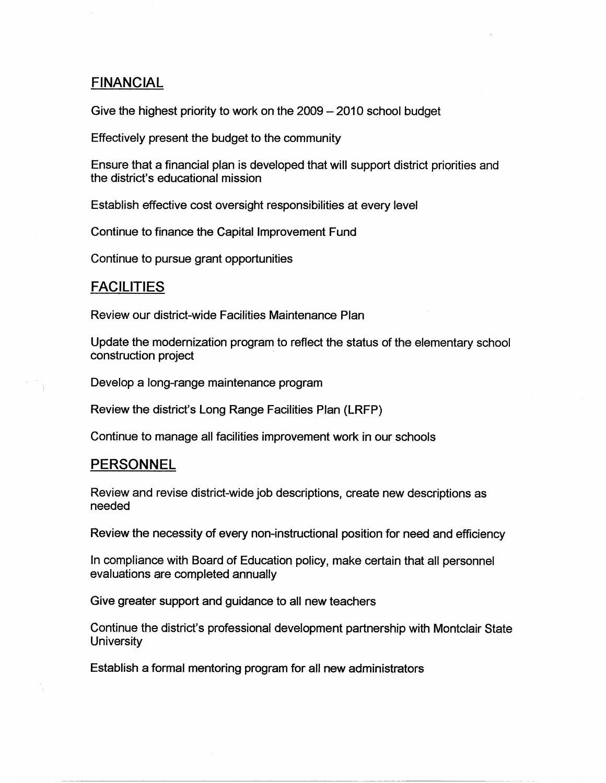## **FINANCIAL**

Give the highest priority to work on the  $2009 - 2010$  school budget

Effectively present the budget to the community

Ensure that a financial plan is developed that will support district priorities and the district's educational mission

Establish effective cost oversight responsibilities at every level

Continue to finance the Capital Improvement Fund

Continue to pursue grant opportunities

# **FACILITIES**

Review our district-wide Facilities Maintenance Plan

Update the modernization program to reflect the status of the elementary school construction project '

Develop a long-range maintenance program

Review the district's Long Range Facilities Plan (LRFP)

Continue to manage all facilities improvement work in our schools

## **PERSONNEL**

Review and revise district-wide job descriptions, create new descriptions as needed

Review the necessity of every non-instructional position for need and efficiency

In compliance with Board of Education policy, make certain that all personnel evaluations are completed annually

Give greater support and guidance to all new teachers

Continue the district's professional development partnership with Montclair State **University** 

Establish a formal mentoring program for all new administrators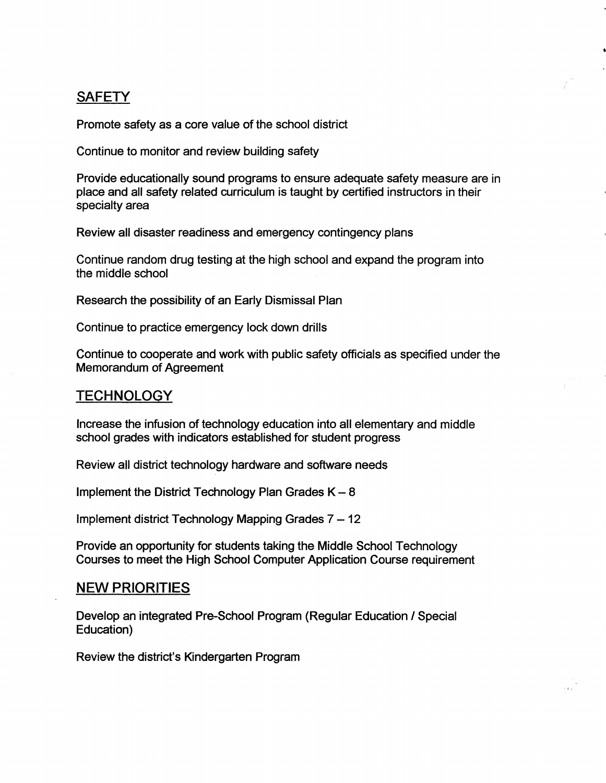# **SAFETY**

Promote safety as a core value of the school district

Continue to monitor and review building safety

Provide educationally sound programs to ensure adequate safety measure are in place and all safety related curriculum is taught by certified instructors in their specialty area

•

Review all disaster readiness and emergency contingency plans

Continue random drug testing at the high school and expand the program into the middle school

Research the possibility of an Early Dismissal Plan

Continue to practice emergency lock down drills

Continue to cooperate and work with public safety officials as specified under the Memorandum of Agreement

## **TECHNOLOGY**

Increase the infusion of technology education into all elementary and middle school grades with indicators established for student progress

Review all district technology hardware and software needs

Implement the District Technology Plan Grades  $K - 8$ 

Implement district Technology Mapping Grades  $7 - 12$ 

Provide an opportunity for students taking the Middle School Technology Courses to meet the High School Computer Application Course requirement

### NEW PRIORITIES

Develop an integrated Pre-School Program (Regular Education / Special Education)

Review the district's Kindergarten Program